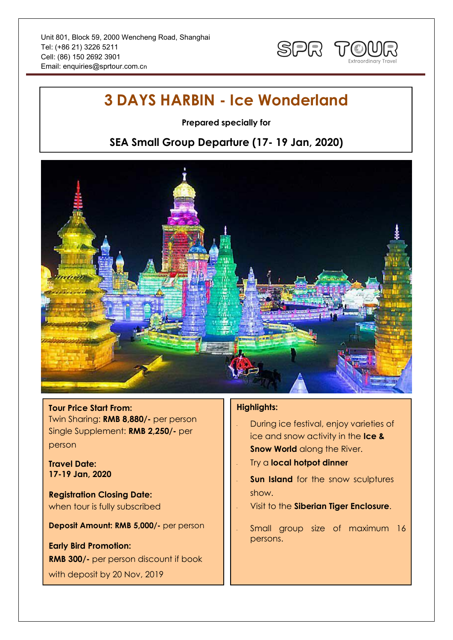

# **3 DAYS HARBIN - Ice Wonderland**

**Prepared specially for**

## **SEA Small Group Departure (17- 19 Jan, 2020)**



#### **Tour Price Start From:**

Twin Sharing: **RMB 8,880/-** per person Single Supplement: **RMB 2,250/-** per person

**Travel Date: 17-19 Jan, 2020**

**Registration Closing Date:** when tour is fully subscribed

**Deposit Amount: RMB 5,000/-** per person

**Early Bird Promotion: RMB 300/-** per person discount if book with deposit by 20 Nov, 2019

### **Highlights:**

- During ice festival, enjoy varieties of ice and snow activity in the **Ice & Snow World** along the River.
- Try a **local hotpot dinner**
- **Sun Island** for the snow sculptures show.
- Visit to the **Siberian Tiger Enclosure**.
- Small group size of maximum 16 persons.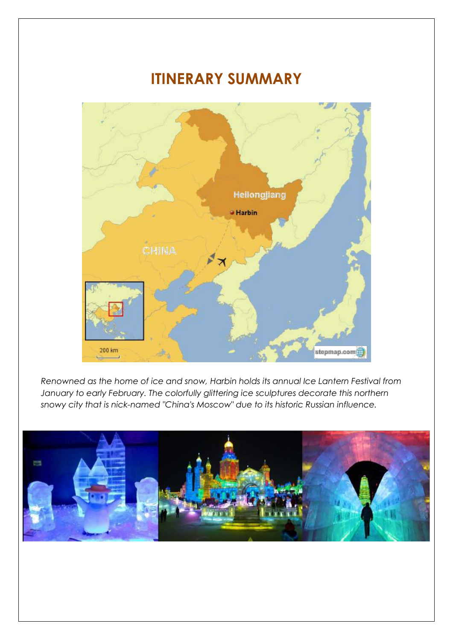# **ITINERARY SUMMARY**



*Renowned as the home of ice and snow, Harbin holds its annual Ice Lantern Festival from January to early February. The colorfully glittering ice sculptures decorate this northern snowy city that is nick-named "China's Moscow" due to its historic Russian influence.*

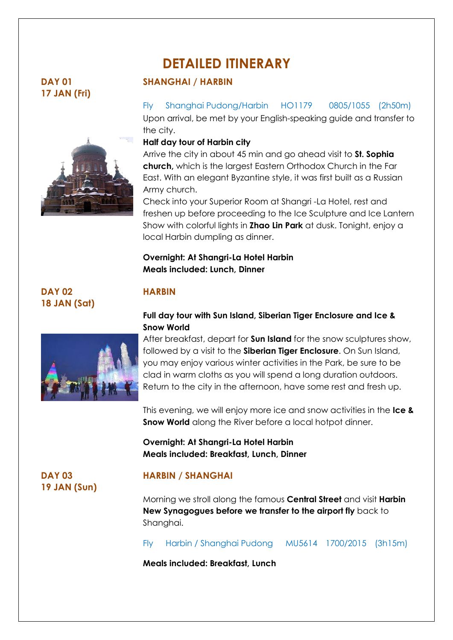# **DETAILED ITINERARY**

## **DAY 01 17 JAN (Fri)**



### **SHANGHAI / HARBIN**

### Fly Shanghai Pudong/Harbin HO1179 0805/1055 (2h50m)

Upon arrival, be met by your English-speaking guide and transfer to the city.

### **Half day tour of Harbin city**

Arrive the city in about 45 min and go ahead visit to **St. Sophia church,** which is the largest Eastern Orthodox Church in the Far East. With an elegant Byzantine style, it was first built as a Russian Army church.

Check into your Superior Room at Shangri -La Hotel, rest and freshen up before proceeding to the Ice Sculpture and Ice Lantern Show with colorful lights in **Zhao Lin Park** at dusk. Tonight, enjoy a local Harbin dumpling as dinner.

### **Overnight: At Shangri-La Hotel Harbin Meals included: Lunch, Dinner**

## **DAY 02 18 JAN (Sat)**



# **HARBIN**

### **Full day tour with Sun Island, Siberian Tiger Enclosure and Ice & Snow World**

After breakfast, depart for **Sun Island** for the snow sculptures show, followed by a visit to the **Siberian Tiger Enclosure**. On Sun Island, you may enjoy various winter activities in the Park, be sure to be clad in warm cloths as you will spend a long duration outdoors. Return to the city in the afternoon, have some rest and fresh up.

This evening, we will enjoy more ice and snow activities in the **Ice & Snow World** along the River before a local hotpot dinner.

### **Overnight: At Shangri-La Hotel Harbin Meals included: Breakfast, Lunch, Dinner**

**DAY 03 19 JAN (Sun)**

### **HARBIN / SHANGHAI**

Morning we stroll along the famous **Central Street** and visit **Harbin New Synagogues before we transfer to the airport fly** back to Shanghai.

Fly Harbin / Shanghai Pudong MU5614 1700/2015 (3h15m)

**Meals included: Breakfast, Lunch**